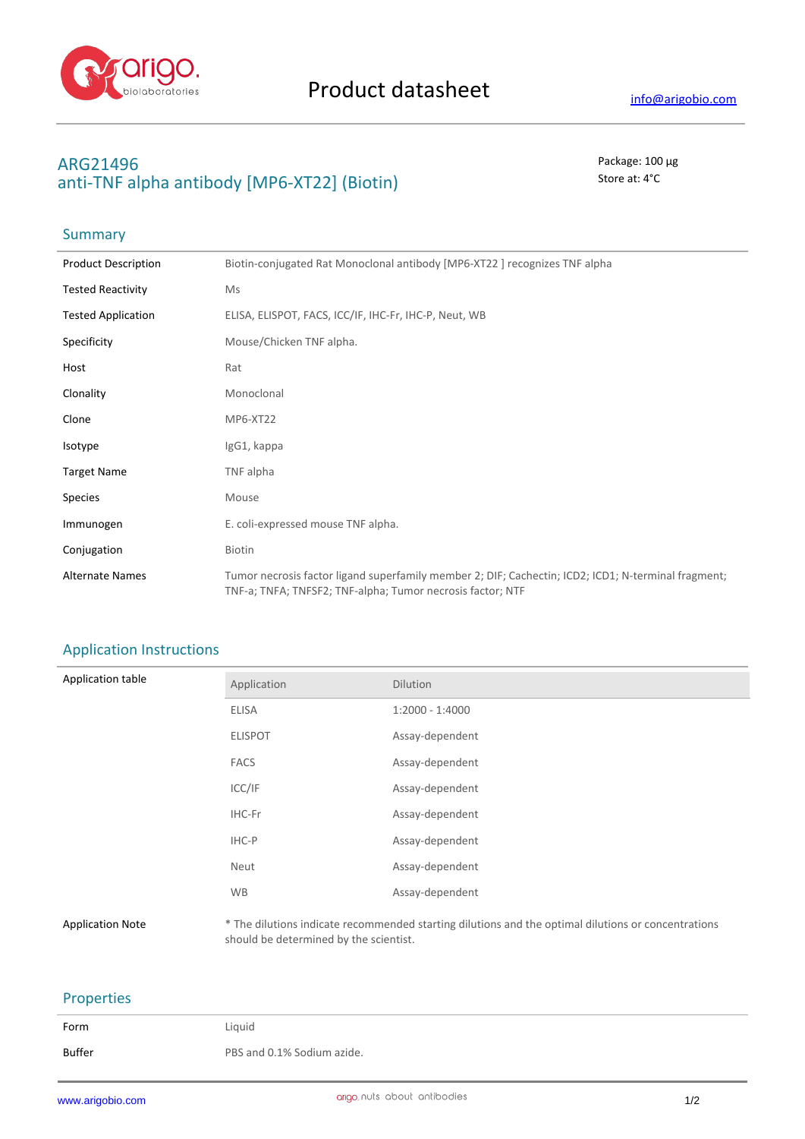

# **ARG21496** Package: 100 μg anti-TNF alpha antibody [MP6-XT22] (Biotin) Store at: 4<sup>°</sup>C

## **Summary**

| <b>Product Description</b> | Biotin-conjugated Rat Monoclonal antibody [MP6-XT22 ] recognizes TNF alpha                                                                                        |
|----------------------------|-------------------------------------------------------------------------------------------------------------------------------------------------------------------|
| <b>Tested Reactivity</b>   | Ms                                                                                                                                                                |
| <b>Tested Application</b>  | ELISA, ELISPOT, FACS, ICC/IF, IHC-Fr, IHC-P, Neut, WB                                                                                                             |
| Specificity                | Mouse/Chicken TNF alpha.                                                                                                                                          |
| Host                       | Rat                                                                                                                                                               |
| Clonality                  | Monoclonal                                                                                                                                                        |
| Clone                      | MP6-XT22                                                                                                                                                          |
| Isotype                    | IgG1, kappa                                                                                                                                                       |
| <b>Target Name</b>         | TNF alpha                                                                                                                                                         |
| <b>Species</b>             | Mouse                                                                                                                                                             |
| Immunogen                  | E. coli-expressed mouse TNF alpha.                                                                                                                                |
| Conjugation                | Biotin                                                                                                                                                            |
| <b>Alternate Names</b>     | Tumor necrosis factor ligand superfamily member 2; DIF; Cachectin; ICD2; ICD1; N-terminal fragment;<br>TNF-a; TNFA; TNFSF2; TNF-alpha; Tumor necrosis factor; NTF |

## Application Instructions

| Application table | Application    | Dilution          |
|-------------------|----------------|-------------------|
|                   | ELISA          | $1:2000 - 1:4000$ |
|                   | <b>ELISPOT</b> | Assay-dependent   |
|                   | <b>FACS</b>    | Assay-dependent   |
|                   | ICC/IF         | Assay-dependent   |
|                   | IHC-Fr         | Assay-dependent   |
|                   | IHC-P          | Assay-dependent   |
|                   | Neut           | Assay-dependent   |
|                   | <b>WB</b>      | Assay-dependent   |
|                   |                |                   |

Application Note \* The dilutions indicate recommended starting dilutions and the optimal dilutions or concentrations should be determined by the scientist.

### Properties

| Form          | Liquid                     |
|---------------|----------------------------|
| <b>Buffer</b> | PBS and 0.1% Sodium azide. |